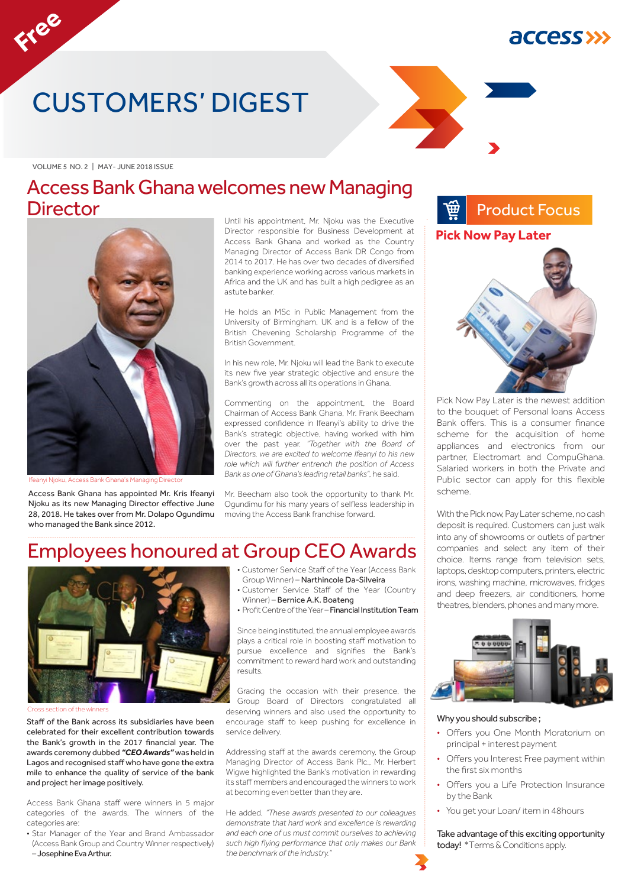## *<u>ACCESS>>></u>*

## CUSTOMERS' DIGEST

VOLUME 5 NO. 2 | MAY- JUNE 2018 ISSUE

**Free**

## Access Bank Ghana welcomes new Managing **Director**



Ifeanyi Njoku, Access Bank Ghana's Managing Director

Access Bank Ghana has appointed Mr. Kris Ifeanyi Njoku as its new Managing Director effective June 28, 2018. He takes over from Mr. Dolapo Ogundimu who managed the Bank since 2012.

Until his appointment, Mr. Njoku was the Executive Director responsible for Business Development at Access Bank Ghana and worked as the Country Managing Director of Access Bank DR Congo from 2014 to 2017. He has over two decades of diversified banking experience working across various markets in Africa and the UK and has built a high pedigree as an astute banker.

He holds an MSc in Public Management from the University of Birmingham, UK and is a fellow of the British Chevening Scholarship Programme of the British Government.

In his new role, Mr. Njoku will lead the Bank to execute its new five year strategic objective and ensure the Bank's growth across all its operations in Ghana.

Commenting on the appointment, the Board Chairman of Access Bank Ghana, Mr. Frank Beecham expressed confidence in Ifeanyi's ability to drive the Bank's strategic objective, having worked with him over the past year. *"Together with the Board of Directors, we are excited to welcome Ifeanyi to his new role which will further entrench the position of Access Bank as one of Ghana's leading retail banks",* he said.

Mr. Beecham also took the opportunity to thank Mr. Ogundimu for his many years of selfless leadership in moving the Access Bank franchise forward.

## Employees honoured at Group CEO Awards



Cross section of the winners

Staff of the Bank across its subsidiaries have been celebrated for their excellent contribution towards the Bank's growth in the 2017 financial year. The awards ceremony dubbed *"CEO Awards"* was held in Lagos and recognised staff who have gone the extra mile to enhance the quality of service of the bank and project her image positively.

Access Bank Ghana staff were winners in 5 major categories of the awards. The winners of the categories are:

• Star Manager of the Year and Brand Ambassador (Access Bank Group and Country Winner respectively) – Josephine Eva Arthur.

- Customer Service Staff of the Year (Access Bank Group Winner) – Narthincole Da-Silveira
- Customer Service Staff of the Year (Country Winner) – Bernice A.K. Boateng
- Profit Centre of the Year Financial Institution Team

Since being instituted, the annual employee awards plays a critical role in boosting staff motivation to pursue excellence and signifies the Bank's commitment to reward hard work and outstanding results.

Gracing the occasion with their presence, the Group Board of Directors congratulated all deserving winners and also used the opportunity to encourage staff to keep pushing for excellence in service delivery.

Addressing staff at the awards ceremony, the Group Managing Director of Access Bank Plc., Mr. Herbert Wigwe highlighted the Bank's motivation in rewarding its staff members and encouraged the winners to work at becoming even better than they are.

He added, *"These awards presented to our colleagues demonstrate that hard work and excellence is rewarding and each one of us must commit ourselves to achieving such high flying performance that only makes our Bank the benchmark of the industry."*



Pick Now Pay Later is the newest addition to the bouquet of Personal loans Access Bank offers. This is a consumer finance scheme for the acquisition of home appliances and electronics from our partner, Electromart and CompuGhana. Salaried workers in both the Private and Public sector can apply for this flexible scheme.

With the Pick now, Pay Later scheme, no cash deposit is required. Customers can just walk into any of showrooms or outlets of partner companies and select any item of their choice. Items range from television sets, laptops, desktop computers, printers, electric irons, washing machine, microwaves, fridges and deep freezers, air conditioners, home theatres, blenders, phones and many more.



#### Why you should subscribe ;

- Offers you One Month Moratorium on principal + interest payment
- Offers you Interest Free payment within the first six months
- Offers you a Life Protection Insurance by the Bank
- You get your Loan/ item in 48hours

Take advantage of this exciting opportunity today! \*Terms & Conditions apply.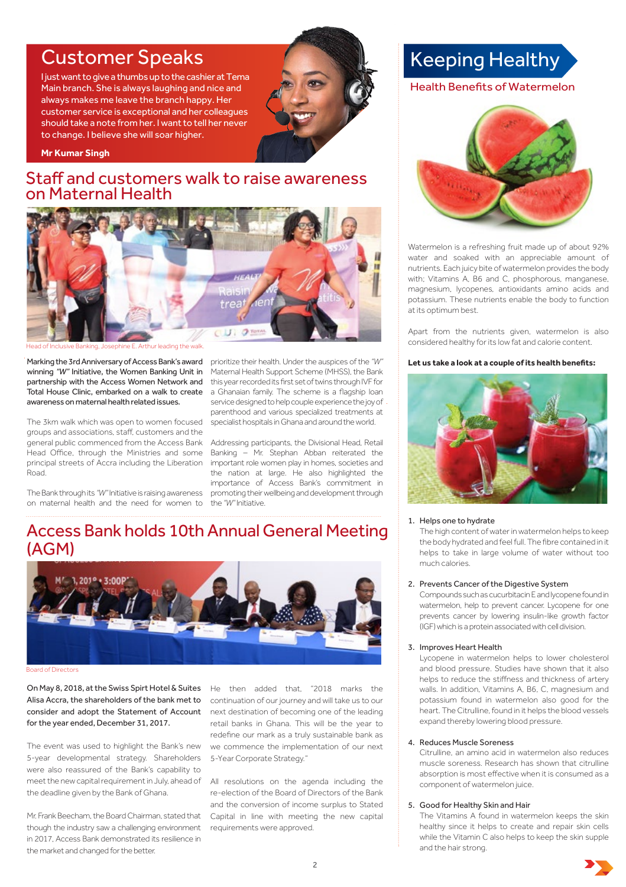## Customer Speaks Keeping Healthy

I just want to give a thumbs up to the cashier at Tema Main branch. She is always laughing and nice and always makes me leave the branch happy. Her customer service is exceptional and her colleagues should take a note from her. I want to tell her never to change. I believe she will soar higher.



**Mr Kumar Singh**

### Staff and customers walk to raise awareness on Maternal Health



Head of Inclusive Banking, Josephine E. Arthur leading the walk.

Total House Clinic, embarked on a walk to create a Ghanaian family. The scheme is a flagship loan Marking the 3rd Anniversary of Access Bank's award winning *"W"* Initiative, the Women Banking Unit in partnership with the Access Women Network and awareness on maternal health related issues.

Head Office, through the Ministries and some Banking - Mr. Stephan Abban reiterated the principal streets of Accra including the Liberation important role women play in homes, societies and The 3km walk which was open to women focused groups and associations, staff, customers and the general public commenced from the Access Bank Road.

The Bank through its "W" Initiative is raising awareness promoting their wellbeing and development through on maternal health and the need for women to the "W" Initiative.

prioritize their health. Under the auspices of the *"W"*  Maternal Health Support Scheme (MHSS), the Bank this year recorded its first set of twins through IVF for service designed to help couple experience the joy of parenthood and various specialized treatments at specialist hospitals in Ghana and around the world.

Addressing participants, the Divisional Head, Retail the nation at large. He also highlighted the importance of Access Bank's commitment in

## Access Bank holds 10th Annual General Meeting (AGM)



Board of Directors

On May 8, 2018, at the Swiss Spirt Hotel & Suites Alisa Accra, the shareholders of the bank met to consider and adopt the Statement of Account next destination of becoming one of the leading for the year ended, December 31, 2017.

The event was used to highlight the Bank's new 5-year developmental strategy. Shareholders were also reassured of the Bank's capability to meet the new capital requirement in July, ahead of the deadline given by the Bank of Ghana.

Mr. Frank Beecham, the Board Chairman, stated that though the industry saw a challenging environment in 2017, Access Bank demonstrated its resilience in the market and changed for the better.

He then added that, "2018 marks the continuation of our journey and will take us to our retail banks in Ghana. This will be the year to redefine our mark as a truly sustainable bank as we commence the implementation of our next 5-Year Corporate Strategy."

All resolutions on the agenda including the re-election of the Board of Directors of the Bank and the conversion of income surplus to Stated Capital in line with meeting the new capital requirements were approved.

### Health Benefits of Watermelon



Watermelon is a refreshing fruit made up of about 92% water and soaked with an appreciable amount of nutrients. Each juicy bite of watermelon provides the body with: Vitamins A, B6 and C, phosphorous, manganese, magnesium, lycopenes, antioxidants amino acids and potassium. These nutrients enable the body to function at its optimum best.

Apart from the nutrients given, watermelon is also considered healthy for its low fat and calorie content.

#### **Let us take a look at a couple of its health benefits:**



#### 1. Helps one to hydrate

 The high content of water in watermelon helps to keep the body hydrated and feel full. The fibre contained in it helps to take in large volume of water without too much calories.

#### 2. Prevents Cancer of the Digestive System

Compounds such as cucurbitacin E and lycopene found in watermelon, help to prevent cancer. Lycopene for one prevents cancer by lowering insulin-like growth factor (IGF) which is a protein associated with cell division.

#### 3. Improves Heart Health

 Lycopene in watermelon helps to lower cholesterol and blood pressure. Studies have shown that it also helps to reduce the stiffness and thickness of artery walls. In addition, Vitamins A, B6, C, magnesium and potassium found in watermelon also good for the heart. The Citrulline, found in it helps the blood vessels expand thereby lowering blood pressure.

#### 4. Reduces Muscle Soreness

 Citrulline, an amino acid in watermelon also reduces muscle soreness. Research has shown that citrulline absorption is most effective when it is consumed as a component of watermelon juice.

#### 5. Good for Healthy Skin and Hair

 The Vitamins A found in watermelon keeps the skin healthy since it helps to create and repair skin cells while the Vitamin C also helps to keep the skin supple and the hair strong.

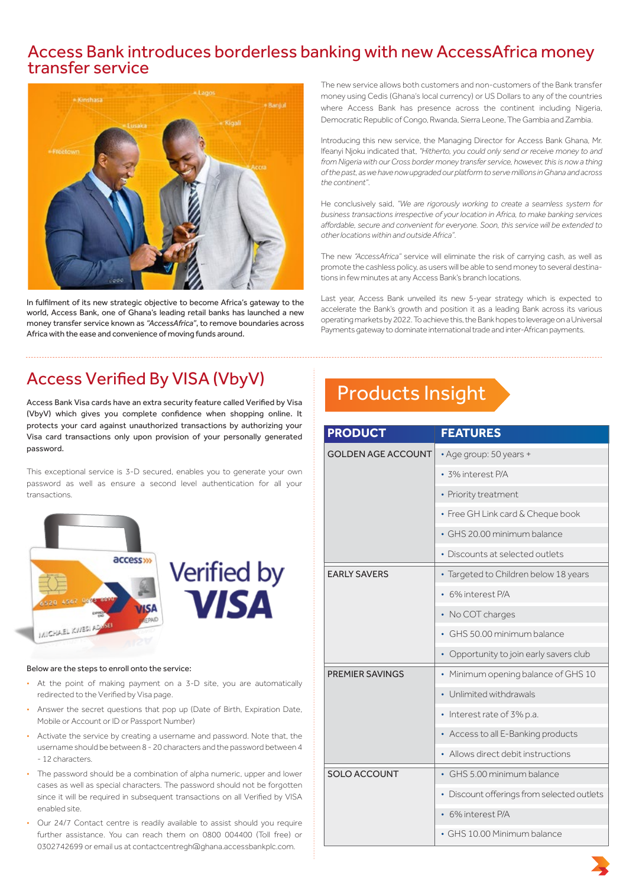# Access Bank introduces borderless banking with new AccessAfrica money transfer service



In fulfilment of its new strategic objective to become Africa's gateway to the world, Access Bank, one of Ghana's leading retail banks has launched a new money transfer service known as *"AccessAfrica"*, to remove boundaries across Africa with the ease and convenience of moving funds around.

The new service allows both customers and non-customers of the Bank transfer money using Cedis (Ghana's local currency) or US Dollars to any of the countries where Access Bank has presence across the continent including Nigeria, Democratic Republic of Congo, Rwanda, Sierra Leone, The Gambia and Zambia.

Introducing this new service, the Managing Director for Access Bank Ghana, Mr. Ifeanyi Njoku indicated that, *"Hitherto, you could only send or receive money to and from Nigeria with our Cross border money transfer service, however, this is now a thing of the past, as we have now upgraded our platform to serve millions in Ghana and across the continent"*.

He conclusively said, *"We are rigorously working to create a seamless system for business transactions irrespective of your location in Africa, to make banking services affordable, secure and convenient for everyone. Soon, this service will be extended to other locations within and outside Africa"*.

The new *"AccessAfrica"* service will eliminate the risk of carrying cash, as well as promote the cashless policy, as users will be able to send money to several destinations in few minutes at any Access Bank's branch locations.

Last year, Access Bank unveiled its new 5-year strategy which is expected to accelerate the Bank's growth and position it as a leading Bank across its various operating markets by 2022. To achieve this, the Bank hopes to leverage on a Universal Payments gateway to dominate international trade and inter-African payments.

## Access Verified By VISA (VbyV)

Access Bank Visa cards have an extra security feature called Verified by Visa (VbyV) which gives you complete confidence when shopping online. It protects your card against unauthorized transactions by authorizing your Visa card transactions only upon provision of your personally generated password.

This exceptional service is 3-D secured, enables you to generate your own password as well as ensure a second level authentication for all your transactions.





#### Below are the steps to enroll onto the service:

- At the point of making payment on a 3-D site, you are automatically redirected to the Verified by Visa page.
- Answer the secret questions that pop up (Date of Birth, Expiration Date, Mobile or Account or ID or Passport Number)
- username should be between 8 20 characters and the password between 4 • Activate the service by creating a username and password. Note that, the - 12 characters.
- The password should be a combination of alpha numeric, upper and lower cases as well as special characters. The password should not be forgotten since it will be required in subsequent transactions on all Verified by VISA enabled site.
- Our 24/7 Contact centre is readily available to assist should you require further assistance. You can reach them on 0800 004400 (Toll free) or 0302742699 or email us at contactcentregh@ghana.accessbankplc.com.

## Products Insight

| <b>PRODUCT</b>            | <b>FEATURES</b>                            |
|---------------------------|--------------------------------------------|
| <b>GOLDEN AGE ACCOUNT</b> | • Age group: 50 years +                    |
|                           | · 3% interest P/A                          |
|                           | • Priority treatment                       |
|                           | • Free GH Link card & Cheque book          |
|                           | · GHS 20.00 minimum balance                |
|                           | • Discounts at selected outlets            |
| <b>EARLY SAVERS</b>       | • Targeted to Children below 18 years      |
|                           | 6% interest P/A                            |
|                           | • No COT charges                           |
|                           | GHS 50.00 minimum balance                  |
|                           | Opportunity to join early savers club      |
| <b>PREMIER SAVINGS</b>    | • Minimum opening balance of GHS 10        |
|                           | Unlimited withdrawals                      |
|                           | • Interest rate of 3% p.a.                 |
|                           | • Access to all E-Banking products         |
|                           | Allows direct debit instructions           |
| <b>SOLO ACCOUNT</b>       | • GHS 5.00 minimum balance                 |
|                           | • Discount offerings from selected outlets |
|                           | 6% interest P/A                            |
|                           | • GHS 10.00 Minimum balance                |